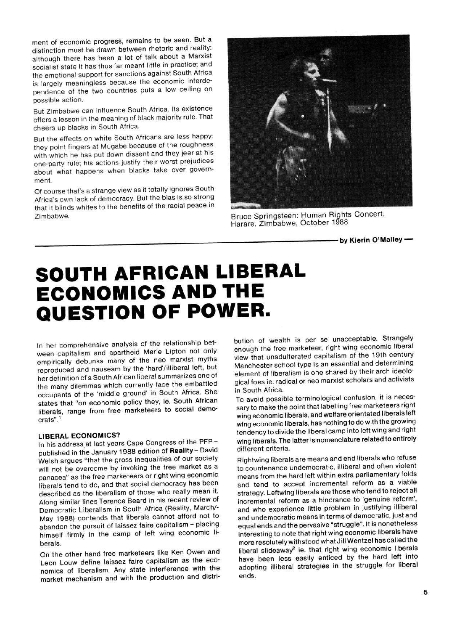ment of economic progress, remains to be seen. But a distinction must be drawn between rhetoric and reality: although there has been a lot of talk about a Marxist socialist state it has thus far meant little in practice; and the emotional support for sanctions against South Africa is largely meaningless because the economic interdependence of the two countries puts a low ceiling on possible action.

But Zimbabwe can influence South Africa. Its existence offers a lesson in the meaning of black majority rule. That cheers up blacks in South Africa.

But the effects on white South Africans are less happy: they point fingers at Mugabe because of the roughness with which he has put down dissent and they jeer at his one-party rule; his actions justify their worst prejudices about what happens when blacks take over government.

Of course that's a strange view as it totally ignores South Africa's own lack of democracy. But the bias is so strong that it blinds whites to the benefits of the racial peace in Zimbabwe. Bruce Springsteen: Human Rights Concert,



Harare, Zimbabwe, October 1988

**•by Kierin O'Malley**—

# **SOUTH AFRICAN LIBERAL ECONOMICS AND THE QUESTION OF POWER.**

In her comprehensive analysis of the relationship between capitalism and apartheid Merle Lipton not only empirically debunks many of the neo marxist myths reproduced and nauseam by the 'hard'/illiberal left, but her definition of a South African liberal summarizes one of the many dilemmas which currently face the embattled occupants of the 'middle ground' in South Africa. She states that "on economic policy they, ie. South African liberals, range from free marketeers to social democrats".

## **LIBERAL ECONOMICS?**

In his address at last years Cape Congress of the PFPpublished in the January 1988 edition of **Reality-** David Welsh argues "that the gross inequalities of our society will not be overcome by invoking the free market as a panacea" as the free marketeers or right wing economic liberals tend to do, and that social democracy has been described as the liberalism of those who really mean it. Along similar lines Terence Beard in his recent review of Democratic Liberalism in South Africa (Reality, March/- May 1988) contends that liberals cannot afford not to abandon the pursuit of laissez faire capitalism - placing himself firmly in the camp of left wing economic liberals.

On the other hand free marketeers like Ken Owen and Leon Louw define laissez faire capitalism as the economics of liberalism. Any state interference with the market mechanism and with the production and distribution of wealth is per se unacceptable. Strangely enough the free marketeer, right wing economic liberal view that unadulterated capitalism of the 19th century Manchester school type is an essential and determining element of liberalism is one shared by their arch ideological foes ie. radical or neo marxist scholars and activists in South Africa.

To avoid possible terminological confusion, it is necessary to make the point that labelling free marketeers right wing economic liberals, and welfare orientated liberals left wing economic liberals, has nothing to do with the growing tendency to divide the liberal camp into left wing and right wing liberals. The latter is nomenclature related to entirely different criteria.

Rightwing liberals are means and end liberals who refuse to countenance undemocratic, illiberal and often violent means from the hard left within extra parliamentary folds and tend to accept incremental reform as a viable strategy. Leftwing liberals are those who tend to reject all incremental reform as a hindrance to 'genuine reform', and who experience little problem in justifying illiberal and undemocratic means in terms of democratic, just and equal ends and the pervasive "struggle". It is nonetheless interesting to note that right wing economic liberals have more resolutely withstood what Jill Wentzel has called the liberal slideaway<sup>2</sup> ie. that right wing economic liberals have been less easily enticed by the hard left into adopting illiberal strategies in the struggle for liberal ends.